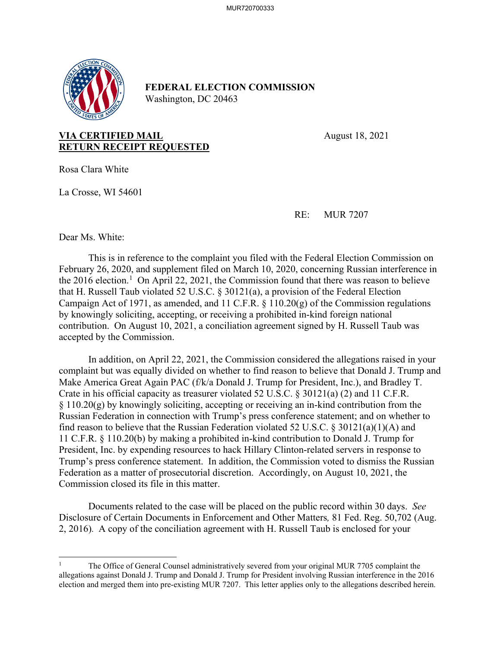

## **FEDERAL ELECTION COMMISSION** Washington, DC 20463

**VIA CERTIFIED MAIL** August 18, 2021 **RETURN RECEIPT REQUESTED**

Rosa Clara White

La Crosse, WI 54601

RE: MUR 7207

Dear Ms. White:

This is in reference to the complaint you filed with the Federal Election Commission on February 26, 2020, and supplement filed on March 10, 2020, concerning Russian interference in the 2016 election.<sup>1</sup> On April 22, 2021, the Commission found that there was reason to believe that H. Russell Taub violated 52 U.S.C. § 30121(a), a provision of the Federal Election Campaign Act of 1971, as amended, and 11 C.F.R. § 110.20(g) of the Commission regulations by knowingly soliciting, accepting, or receiving a prohibited in-kind foreign national contribution. On August 10, 2021, a conciliation agreement signed by H. Russell Taub was accepted by the Commission.

 In addition, on April 22, 2021, the Commission considered the allegations raised in your complaint but was equally divided on whether to find reason to believe that Donald J. Trump and Make America Great Again PAC (f/k/a Donald J. Trump for President, Inc.), and Bradley T. Crate in his official capacity as treasurer violated 52 U.S.C. § 30121(a) (2) and 11 C.F.R. § 110.20(g) by knowingly soliciting, accepting or receiving an in-kind contribution from the Russian Federation in connection with Trump's press conference statement; and on whether to find reason to believe that the Russian Federation violated 52 U.S.C. § 30121(a)(1)(A) and 11 C.F.R. § 110.20(b) by making a prohibited in-kind contribution to Donald J. Trump for President, Inc. by expending resources to hack Hillary Clinton-related servers in response to Trump's press conference statement. In addition, the Commission voted to dismiss the Russian Federation as a matter of prosecutorial discretion. Accordingly, on August 10, 2021, the Commission closed its file in this matter.

Documents related to the case will be placed on the public record within 30 days. *See*  Disclosure of Certain Documents in Enforcement and Other Matters*,* 81 Fed. Reg. 50,702 (Aug. 2, 2016). A copy of the conciliation agreement with H. Russell Taub is enclosed for your

<sup>1</sup> The Office of General Counsel administratively severed from your original MUR 7705 complaint the allegations against Donald J. Trump and Donald J. Trump for President involving Russian interference in the 2016 election and merged them into pre-existing MUR 7207. This letter applies only to the allegations described herein.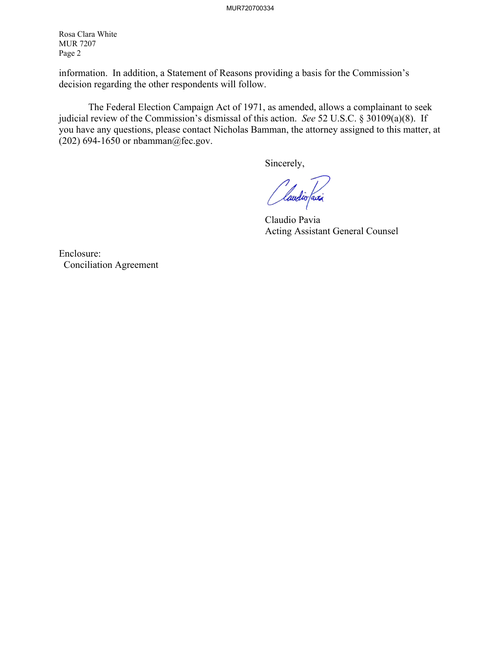Rosa Clara White MUR 7207 Page 2

information. In addition, a Statement of Reasons providing a basis for the Commission's decision regarding the other respondents will follow.

 The Federal Election Campaign Act of 1971, as amended, allows a complainant to seek judicial review of the Commission's dismissal of this action. *See* 52 U.S.C. § 30109(a)(8). If you have any questions, please contact Nicholas Bamman, the attorney assigned to this matter, at (202) 694-1650 or nbamman@fec.gov.

Sincerely,

*(laudio faxi* 

 Claudio Pavia Acting Assistant General Counsel

Enclosure: Conciliation Agreement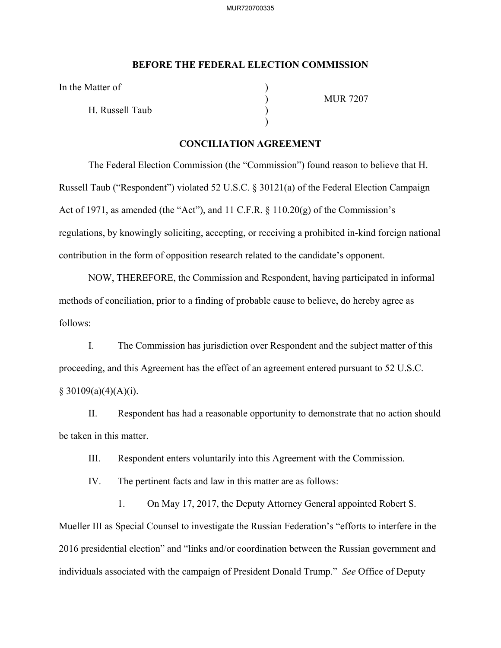## **BEFORE THE FEDERAL ELECTION COMMISSION**

In the Matter of

H. Russell Taub )

 $)$ 

) MUR 7207

## **CONCILIATION AGREEMENT**

The Federal Election Commission (the "Commission") found reason to believe that H. Russell Taub ("Respondent") violated 52 U.S.C. § 30121(a) of the Federal Election Campaign Act of 1971, as amended (the "Act"), and 11 C.F.R. § 110.20(g) of the Commission's regulations, by knowingly soliciting, accepting, or receiving a prohibited in-kind foreign national contribution in the form of opposition research related to the candidate's opponent.

NOW, THEREFORE, the Commission and Respondent, having participated in informal methods of conciliation, prior to a finding of probable cause to believe, do hereby agree as follows:

I. The Commission has jurisdiction over Respondent and the subject matter of this proceeding, and this Agreement has the effect of an agreement entered pursuant to 52 U.S.C.  $§ 30109(a)(4)(A)(i).$ 

II. Respondent has had a reasonable opportunity to demonstrate that no action should be taken in this matter.

III. Respondent enters voluntarily into this Agreement with the Commission.

IV. The pertinent facts and law in this matter are as follows:

1. On May 17, 2017, the Deputy Attorney General appointed Robert S. Mueller III as Special Counsel to investigate the Russian Federation's "efforts to interfere in the 2016 presidential election" and "links and/or coordination between the Russian government and individuals associated with the campaign of President Donald Trump." *See* Office of Deputy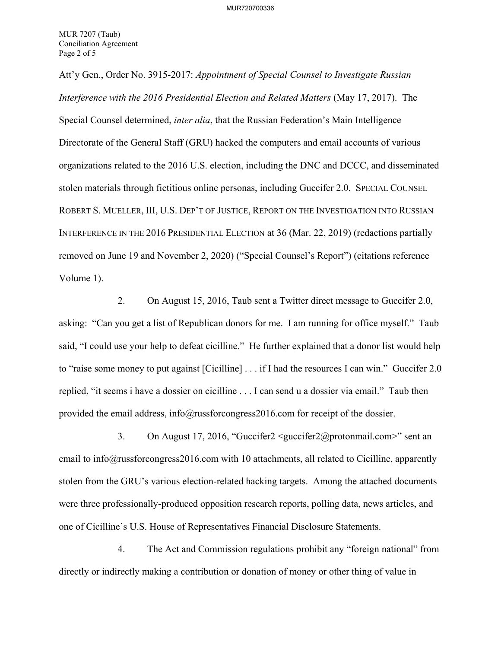Att'y Gen., Order No. 3915-2017: *Appointment of Special Counsel to Investigate Russian Interference with the 2016 Presidential Election and Related Matters* (May 17, 2017). The Special Counsel determined, *inter alia*, that the Russian Federation's Main Intelligence Directorate of the General Staff (GRU) hacked the computers and email accounts of various organizations related to the 2016 U.S. election, including the DNC and DCCC, and disseminated stolen materials through fictitious online personas, including Guccifer 2.0. SPECIAL COUNSEL ROBERT S. MUELLER, III, U.S. DEP'T OF JUSTICE, REPORT ON THE INVESTIGATION INTO RUSSIAN INTERFERENCE IN THE 2016 PRESIDENTIAL ELECTION at 36 (Mar. 22, 2019) (redactions partially removed on June 19 and November 2, 2020) ("Special Counsel's Report") (citations reference Volume 1).

2. On August 15, 2016, Taub sent a Twitter direct message to Guccifer 2.0, asking: "Can you get a list of Republican donors for me. I am running for office myself." Taub said, "I could use your help to defeat cicilline." He further explained that a donor list would help to "raise some money to put against [Cicilline] . . . if I had the resources I can win." Guccifer 2.0 replied, "it seems i have a dossier on cicilline . . . I can send u a dossier via email." Taub then provided the email address, info@russforcongress2016.com for receipt of the dossier.

3. On August 17, 2016, "Guccifer2 <guccifer2@protonmail.com>" sent an email to info@russforcongress2016.com with 10 attachments, all related to Cicilline, apparently stolen from the GRU's various election-related hacking targets. Among the attached documents were three professionally-produced opposition research reports, polling data, news articles, and one of Cicilline's U.S. House of Representatives Financial Disclosure Statements.

4. The Act and Commission regulations prohibit any "foreign national" from directly or indirectly making a contribution or donation of money or other thing of value in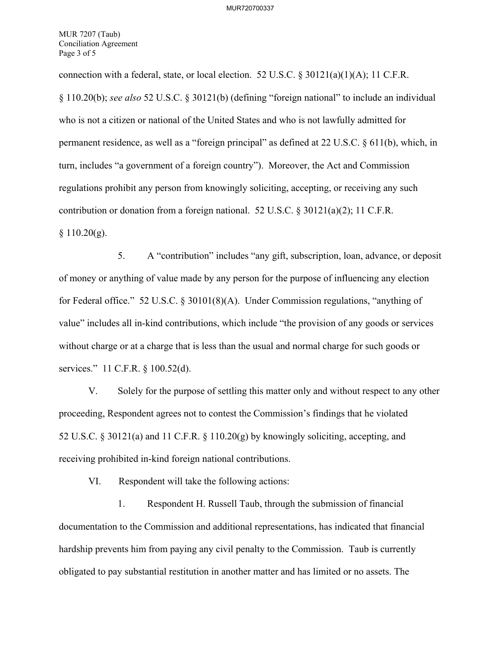MUR 7207 (Taub) Conciliation Agreement Page 3 of 5

connection with a federal, state, or local election. 52 U.S.C.  $\frac{830121(a)(1)(A)}{1}$ ; 11 C.F.R. § 110.20(b); *see also* 52 U.S.C. § 30121(b) (defining "foreign national" to include an individual who is not a citizen or national of the United States and who is not lawfully admitted for permanent residence, as well as a "foreign principal" as defined at 22 U.S.C. § 611(b), which, in turn, includes "a government of a foreign country"). Moreover, the Act and Commission regulations prohibit any person from knowingly soliciting, accepting, or receiving any such contribution or donation from a foreign national. 52 U.S.C. § 30121(a)(2); 11 C.F.R.  $§ 110.20(g).$ 

5. A "contribution" includes "any gift, subscription, loan, advance, or deposit of money or anything of value made by any person for the purpose of influencing any election for Federal office." 52 U.S.C. § 30101(8)(A). Under Commission regulations, "anything of value" includes all in-kind contributions, which include "the provision of any goods or services without charge or at a charge that is less than the usual and normal charge for such goods or services." 11 C.F.R. § 100.52(d).

V. Solely for the purpose of settling this matter only and without respect to any other proceeding, Respondent agrees not to contest the Commission's findings that he violated 52 U.S.C. § 30121(a) and 11 C.F.R. § 110.20(g) by knowingly soliciting, accepting, and receiving prohibited in-kind foreign national contributions.

VI. Respondent will take the following actions:

1. Respondent H. Russell Taub, through the submission of financial documentation to the Commission and additional representations, has indicated that financial hardship prevents him from paying any civil penalty to the Commission. Taub is currently obligated to pay substantial restitution in another matter and has limited or no assets. The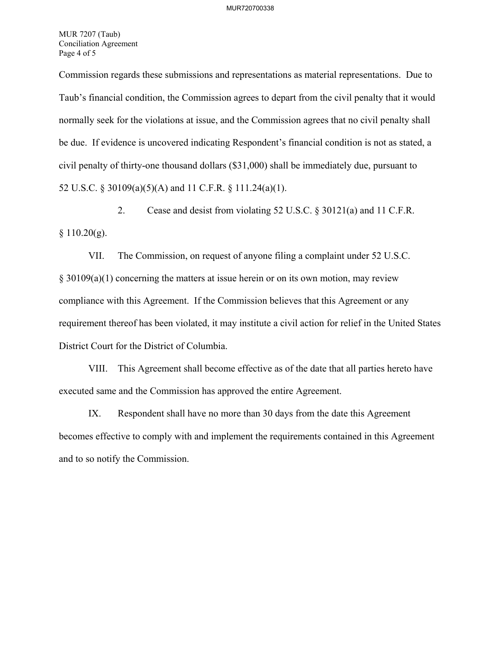MUR 7207 (Taub) Conciliation Agreement Page 4 of 5

Commission regards these submissions and representations as material representations. Due to Taub's financial condition, the Commission agrees to depart from the civil penalty that it would normally seek for the violations at issue, and the Commission agrees that no civil penalty shall be due. If evidence is uncovered indicating Respondent's financial condition is not as stated, a civil penalty of thirty-one thousand dollars (\$31,000) shall be immediately due, pursuant to 52 U.S.C. § 30109(a)(5)(A) and 11 C.F.R. § 111.24(a)(1).

2. Cease and desist from violating 52 U.S.C. § 30121(a) and 11 C.F.R.  $§ 110.20(g).$ 

VII. The Commission, on request of anyone filing a complaint under 52 U.S.C. § 30109(a)(1) concerning the matters at issue herein or on its own motion, may review compliance with this Agreement. If the Commission believes that this Agreement or any requirement thereof has been violated, it may institute a civil action for relief in the United States District Court for the District of Columbia.

VIII. This Agreement shall become effective as of the date that all parties hereto have executed same and the Commission has approved the entire Agreement.

IX. Respondent shall have no more than 30 days from the date this Agreement becomes effective to comply with and implement the requirements contained in this Agreement and to so notify the Commission.